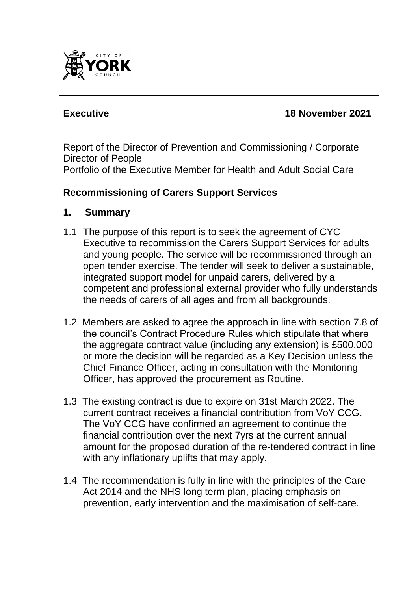

### **Executive 18 November 2021**

Report of the Director of Prevention and Commissioning / Corporate Director of People Portfolio of the Executive Member for Health and Adult Social Care

#### **Recommissioning of Carers Support Services**

#### **1. Summary**

- 1.1 The purpose of this report is to seek the agreement of CYC Executive to recommission the Carers Support Services for adults and young people. The service will be recommissioned through an open tender exercise. The tender will seek to deliver a sustainable, integrated support model for unpaid carers, delivered by a competent and professional external provider who fully understands the needs of carers of all ages and from all backgrounds.
- 1.2 Members are asked to agree the approach in line with section 7.8 of the council's Contract Procedure Rules which stipulate that where the aggregate contract value (including any extension) is £500,000 or more the decision will be regarded as a Key Decision unless the Chief Finance Officer, acting in consultation with the Monitoring Officer, has approved the procurement as Routine.
- 1.3 The existing contract is due to expire on 31st March 2022. The current contract receives a financial contribution from VoY CCG. The VoY CCG have confirmed an agreement to continue the financial contribution over the next 7yrs at the current annual amount for the proposed duration of the re-tendered contract in line with any inflationary uplifts that may apply.
- 1.4 The recommendation is fully in line with the principles of the Care Act 2014 and the NHS long term plan, placing emphasis on prevention, early intervention and the maximisation of self-care.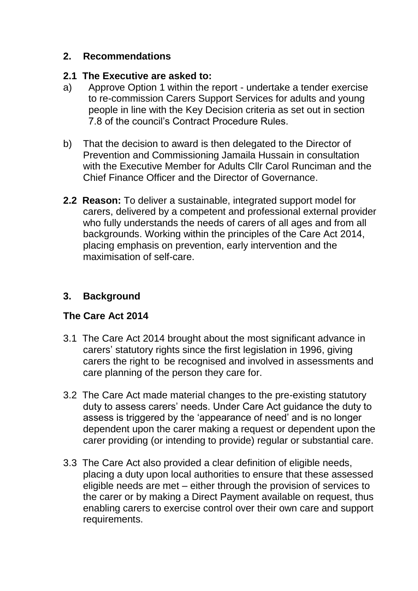#### **2. Recommendations**

#### **2.1 The Executive are asked to:**

- a) Approve Option 1 within the report undertake a tender exercise to re-commission Carers Support Services for adults and young people in line with the Key Decision criteria as set out in section 7.8 of the council's Contract Procedure Rules.
- b) That the decision to award is then delegated to the Director of Prevention and Commissioning Jamaila Hussain in consultation with the Executive Member for Adults Cllr Carol Runciman and the Chief Finance Officer and the Director of Governance.
- **2.2 Reason:** To deliver a sustainable, integrated support model for carers, delivered by a competent and professional external provider who fully understands the needs of carers of all ages and from all backgrounds. Working within the principles of the Care Act 2014, placing emphasis on prevention, early intervention and the maximisation of self-care.

# **3. Background**

## **The Care Act 2014**

- 3.1 The Care Act 2014 brought about the most significant advance in carers' statutory rights since the first legislation in 1996, giving carers the right to be recognised and involved in assessments and care planning of the person they care for.
- 3.2 The Care Act made material changes to the pre-existing statutory duty to assess carers' needs. Under Care Act guidance the duty to assess is triggered by the 'appearance of need' and is no longer dependent upon the carer making a request or dependent upon the carer providing (or intending to provide) regular or substantial care.
- 3.3 The Care Act also provided a clear definition of eligible needs, placing a duty upon local authorities to ensure that these assessed eligible needs are met – either through the provision of services to the carer or by making a Direct Payment available on request, thus enabling carers to exercise control over their own care and support requirements.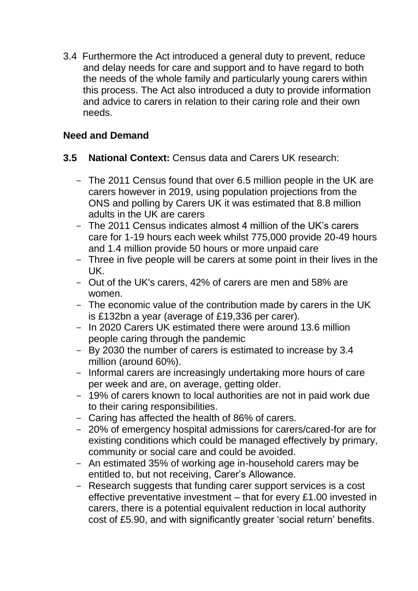3.4 Furthermore the Act introduced a general duty to prevent, reduce and delay needs for care and support and to have regard to both the needs of the whole family and particularly young carers within this process. The Act also introduced a duty to provide information and advice to carers in relation to their caring role and their own needs.

# **Need and Demand**

#### **3.5 National Context:** Census data and Carers UK research:

- The 2011 Census found that over 6.5 million people in the UK are carers however in 2019, using population projections from the ONS and polling by Carers UK it was estimated that 8.8 million adults in the UK are carers
- The 2011 Census indicates almost 4 million of the UK's carers care for 1-19 hours each week whilst 775,000 provide 20-49 hours and 1.4 million provide 50 hours or more unpaid care
- Three in five people will be carers at some point in their lives in the UK.
- Out of the UK's carers, 42% of carers are men and 58% are women.
- The economic value of the contribution made by carers in the UK is £132bn a year (average of £19,336 per carer).
- In 2020 Carers UK estimated there were around 13.6 million people caring through the pandemic
- By 2030 the number of carers is estimated to increase by 3.4 million (around 60%).
- Informal carers are increasingly undertaking more hours of care per week and are, on average, getting older.
- 19% of carers known to local authorities are not in paid work due to their caring responsibilities.
- Caring has affected the health of 86% of carers.
- 20% of emergency hospital admissions for carers/cared-for are for existing conditions which could be managed effectively by primary, community or social care and could be avoided.
- An estimated 35% of working age in-household carers may be entitled to, but not receiving, Carer's Allowance.
- Research suggests that funding carer support services is a cost effective preventative investment – that for every £1.00 invested in carers, there is a potential equivalent reduction in local authority cost of £5.90, and with significantly greater 'social return' benefits.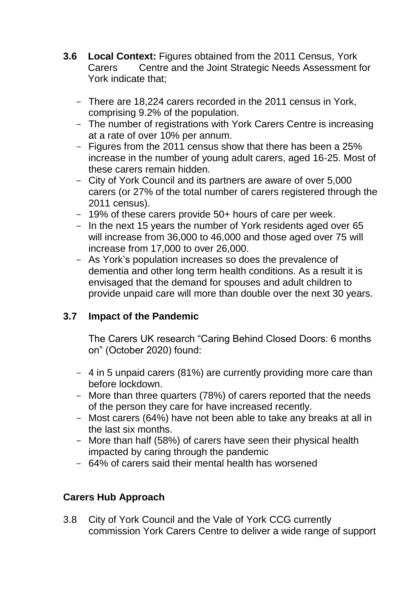- **3.6 Local Context:** Figures obtained from the 2011 Census, York Carers Centre and the Joint Strategic Needs Assessment for York indicate that;
	- There are 18,224 carers recorded in the 2011 census in York, comprising 9.2% of the population.
	- The number of registrations with York Carers Centre is increasing at a rate of over 10% per annum.
	- Figures from the 2011 census show that there has been a 25% increase in the number of young adult carers, aged 16-25. Most of these carers remain hidden.
	- City of York Council and its partners are aware of over 5,000 carers (or 27% of the total number of carers registered through the 2011 census).
	- 19% of these carers provide 50+ hours of care per week.
	- In the next 15 years the number of York residents aged over 65 will increase from 36,000 to 46,000 and those aged over 75 will increase from 17,000 to over 26,000.
	- As York's population increases so does the prevalence of dementia and other long term health conditions. As a result it is envisaged that the demand for spouses and adult children to provide unpaid care will more than double over the next 30 years.

# **3.7 Impact of the Pandemic**

The Carers UK research "Caring Behind Closed Doors: 6 months on" (October 2020) found:

- 4 in 5 unpaid carers (81%) are currently providing more care than before lockdown.
- More than three quarters (78%) of carers reported that the needs of the person they care for have increased recently.
- Most carers (64%) have not been able to take any breaks at all in the last six months.
- More than half (58%) of carers have seen their physical health impacted by caring through the pandemic
- 64% of carers said their mental health has worsened

# **Carers Hub Approach**

3.8 City of York Council and the Vale of York CCG currently commission York Carers Centre to deliver a wide range of support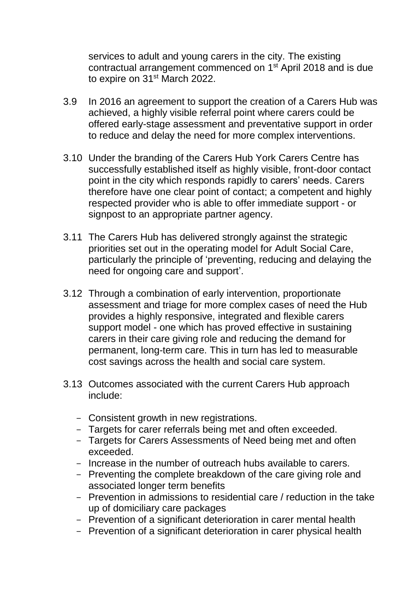services to adult and young carers in the city. The existing contractual arrangement commenced on 1<sup>st</sup> April 2018 and is due to expire on 31<sup>st</sup> March 2022.

- 3.9 In 2016 an agreement to support the creation of a Carers Hub was achieved, a highly visible referral point where carers could be offered early-stage assessment and preventative support in order to reduce and delay the need for more complex interventions.
- 3.10 Under the branding of the Carers Hub York Carers Centre has successfully established itself as highly visible, front-door contact point in the city which responds rapidly to carers' needs. Carers therefore have one clear point of contact; a competent and highly respected provider who is able to offer immediate support - or signpost to an appropriate partner agency.
- 3.11 The Carers Hub has delivered strongly against the strategic priorities set out in the operating model for Adult Social Care, particularly the principle of 'preventing, reducing and delaying the need for ongoing care and support'.
- 3.12 Through a combination of early intervention, proportionate assessment and triage for more complex cases of need the Hub provides a highly responsive, integrated and flexible carers support model - one which has proved effective in sustaining carers in their care giving role and reducing the demand for permanent, long-term care. This in turn has led to measurable cost savings across the health and social care system.
- 3.13 Outcomes associated with the current Carers Hub approach include:
	- Consistent growth in new registrations.
	- Targets for carer referrals being met and often exceeded.
	- Targets for Carers Assessments of Need being met and often exceeded.
	- Increase in the number of outreach hubs available to carers.
	- Preventing the complete breakdown of the care giving role and associated longer term benefits
	- Prevention in admissions to residential care / reduction in the take up of domiciliary care packages
	- Prevention of a significant deterioration in carer mental health
	- Prevention of a significant deterioration in carer physical health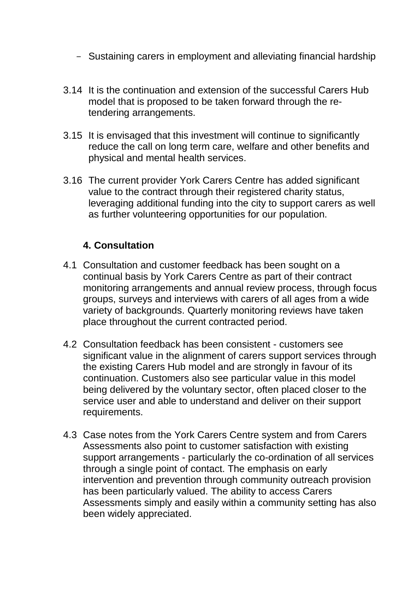- Sustaining carers in employment and alleviating financial hardship
- 3.14 It is the continuation and extension of the successful Carers Hub model that is proposed to be taken forward through the retendering arrangements.
- 3.15 It is envisaged that this investment will continue to significantly reduce the call on long term care, welfare and other benefits and physical and mental health services.
- 3.16 The current provider York Carers Centre has added significant value to the contract through their registered charity status, leveraging additional funding into the city to support carers as well as further volunteering opportunities for our population.

# **4. Consultation**

- 4.1 Consultation and customer feedback has been sought on a continual basis by York Carers Centre as part of their contract monitoring arrangements and annual review process, through focus groups, surveys and interviews with carers of all ages from a wide variety of backgrounds. Quarterly monitoring reviews have taken place throughout the current contracted period.
- 4.2 Consultation feedback has been consistent customers see significant value in the alignment of carers support services through the existing Carers Hub model and are strongly in favour of its continuation. Customers also see particular value in this model being delivered by the voluntary sector, often placed closer to the service user and able to understand and deliver on their support requirements.
- 4.3 Case notes from the York Carers Centre system and from Carers Assessments also point to customer satisfaction with existing support arrangements - particularly the co-ordination of all services through a single point of contact. The emphasis on early intervention and prevention through community outreach provision has been particularly valued. The ability to access Carers Assessments simply and easily within a community setting has also been widely appreciated.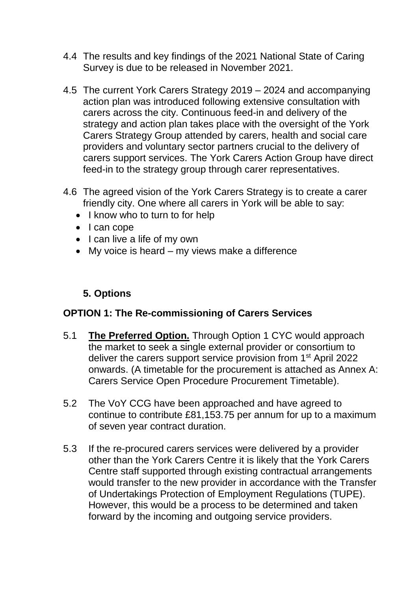- 4.4 The results and key findings of the 2021 National State of Caring Survey is due to be released in November 2021.
- 4.5 The current York Carers Strategy 2019 2024 and accompanying action plan was introduced following extensive consultation with carers across the city. Continuous feed-in and delivery of the strategy and action plan takes place with the oversight of the York Carers Strategy Group attended by carers, health and social care providers and voluntary sector partners crucial to the delivery of carers support services. The York Carers Action Group have direct feed-in to the strategy group through carer representatives.
- 4.6 The agreed vision of the York Carers Strategy is to create a carer friendly city. One where all carers in York will be able to say:
	- I know who to turn to for help
	- I can cope
	- $\bullet$  I can live a life of my own
	- My voice is heard my views make a difference

#### **5. Options**

#### **OPTION 1: The Re-commissioning of Carers Services**

- 5.1 **The Preferred Option.** Through Option 1 CYC would approach the market to seek a single external provider or consortium to deliver the carers support service provision from 1<sup>st</sup> April 2022 onwards. (A timetable for the procurement is attached as Annex A: Carers Service Open Procedure Procurement Timetable).
- 5.2 The VoY CCG have been approached and have agreed to continue to contribute £81,153.75 per annum for up to a maximum of seven year contract duration.
- 5.3 If the re-procured carers services were delivered by a provider other than the York Carers Centre it is likely that the York Carers Centre staff supported through existing contractual arrangements would transfer to the new provider in accordance with the Transfer of Undertakings Protection of Employment Regulations (TUPE). However, this would be a process to be determined and taken forward by the incoming and outgoing service providers.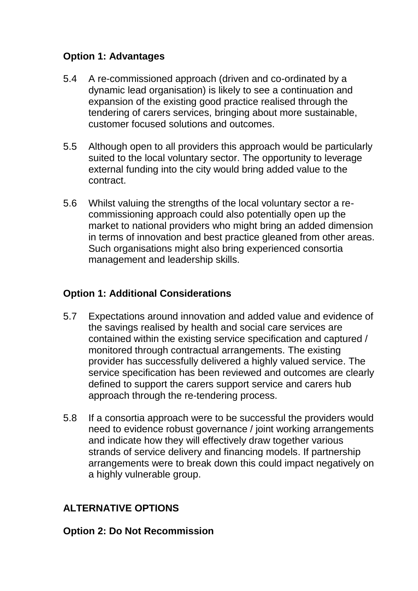# **Option 1: Advantages**

- 5.4 A re-commissioned approach (driven and co-ordinated by a dynamic lead organisation) is likely to see a continuation and expansion of the existing good practice realised through the tendering of carers services, bringing about more sustainable, customer focused solutions and outcomes.
- 5.5 Although open to all providers this approach would be particularly suited to the local voluntary sector. The opportunity to leverage external funding into the city would bring added value to the contract.
- 5.6 Whilst valuing the strengths of the local voluntary sector a recommissioning approach could also potentially open up the market to national providers who might bring an added dimension in terms of innovation and best practice gleaned from other areas. Such organisations might also bring experienced consortia management and leadership skills.

# **Option 1: Additional Considerations**

- 5.7 Expectations around innovation and added value and evidence of the savings realised by health and social care services are contained within the existing service specification and captured / monitored through contractual arrangements. The existing provider has successfully delivered a highly valued service. The service specification has been reviewed and outcomes are clearly defined to support the carers support service and carers hub approach through the re-tendering process.
- 5.8 If a consortia approach were to be successful the providers would need to evidence robust governance / joint working arrangements and indicate how they will effectively draw together various strands of service delivery and financing models. If partnership arrangements were to break down this could impact negatively on a highly vulnerable group.

# **ALTERNATIVE OPTIONS**

#### **Option 2: Do Not Recommission**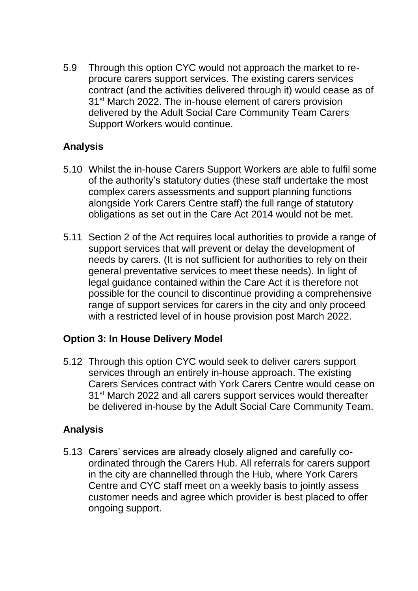5.9 Through this option CYC would not approach the market to reprocure carers support services. The existing carers services contract (and the activities delivered through it) would cease as of 31<sup>st</sup> March 2022. The in-house element of carers provision delivered by the Adult Social Care Community Team Carers Support Workers would continue.

### **Analysis**

- 5.10 Whilst the in-house Carers Support Workers are able to fulfil some of the authority's statutory duties (these staff undertake the most complex carers assessments and support planning functions alongside York Carers Centre staff) the full range of statutory obligations as set out in the Care Act 2014 would not be met.
- 5.11 Section 2 of the Act requires local authorities to provide a range of support services that will prevent or delay the development of needs by carers. (It is not sufficient for authorities to rely on their general preventative services to meet these needs). In light of legal guidance contained within the Care Act it is therefore not possible for the council to discontinue providing a comprehensive range of support services for carers in the city and only proceed with a restricted level of in house provision post March 2022.

## **Option 3: In House Delivery Model**

5.12 Through this option CYC would seek to deliver carers support services through an entirely in-house approach. The existing Carers Services contract with York Carers Centre would cease on 31<sup>st</sup> March 2022 and all carers support services would thereafter be delivered in-house by the Adult Social Care Community Team.

## **Analysis**

5.13 Carers' services are already closely aligned and carefully coordinated through the Carers Hub. All referrals for carers support in the city are channelled through the Hub, where York Carers Centre and CYC staff meet on a weekly basis to jointly assess customer needs and agree which provider is best placed to offer ongoing support.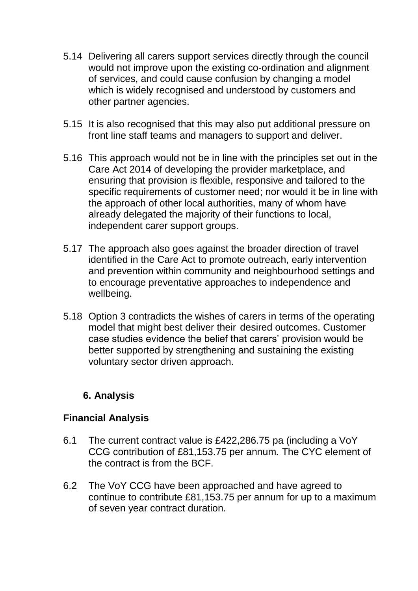- 5.14 Delivering all carers support services directly through the council would not improve upon the existing co-ordination and alignment of services, and could cause confusion by changing a model which is widely recognised and understood by customers and other partner agencies.
- 5.15 It is also recognised that this may also put additional pressure on front line staff teams and managers to support and deliver.
- 5.16 This approach would not be in line with the principles set out in the Care Act 2014 of developing the provider marketplace, and ensuring that provision is flexible, responsive and tailored to the specific requirements of customer need; nor would it be in line with the approach of other local authorities, many of whom have already delegated the majority of their functions to local, independent carer support groups.
- 5.17 The approach also goes against the broader direction of travel identified in the Care Act to promote outreach, early intervention and prevention within community and neighbourhood settings and to encourage preventative approaches to independence and wellbeing.
- 5.18 Option 3 contradicts the wishes of carers in terms of the operating model that might best deliver their desired outcomes. Customer case studies evidence the belief that carers' provision would be better supported by strengthening and sustaining the existing voluntary sector driven approach.

## **6. Analysis**

#### **Financial Analysis**

- 6.1 The current contract value is £422,286.75 pa (including a VoY CCG contribution of £81,153.75 per annum*.* The CYC element of the contract is from the BCF.
- 6.2 The VoY CCG have been approached and have agreed to continue to contribute £81,153.75 per annum for up to a maximum of seven year contract duration.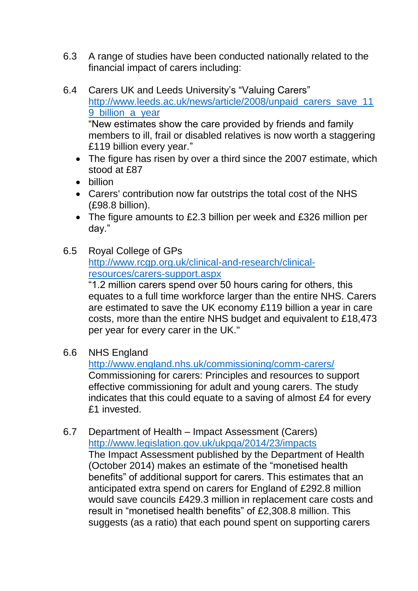- 6.3 A range of studies have been conducted nationally related to the financial impact of carers including:
- 6.4 Carers UK and Leeds University's "Valuing Carers" [http://www.leeds.ac.uk/news/article/2008/unpaid\\_carers\\_save\\_11](http://www.leeds.ac.uk/news/article/2008/unpaid_carers_save_119_billion_a_year) 9 billion a vear "New estimates show the care provided by friends and family members to ill, frail or disabled relatives is now worth a staggering £119 billion every year."
	- The figure has risen by over a third since the 2007 estimate, which stood at £87
	- hillion
	- Carers' contribution now far outstrips the total cost of the NHS (£98.8 billion).
	- The figure amounts to £2.3 billion per week and £326 million per day."
- 6.5 Royal College of GPs [http://www.rcgp.org.uk/clinical-and-research/clinical](http://www.rcgp.org.uk/clinical-and-research/clinical-resources/carers-support.aspx)[resources/carers-support.aspx](http://www.rcgp.org.uk/clinical-and-research/clinical-resources/carers-support.aspx)

"1.2 million carers spend over 50 hours caring for others, this equates to a full time workforce larger than the entire NHS. Carers are estimated to save the UK economy £119 billion a year in care costs, more than the entire NHS budget and equivalent to £18,473 per year for every carer in the UK."

6.6 NHS England

<http://www.england.nhs.uk/commissioning/comm-carers/> Commissioning for carers: Principles and resources to support effective commissioning for adult and young carers. The study indicates that this could equate to a saving of almost £4 for every £1 invested.

6.7 Department of Health – Impact Assessment (Carers) <http://www.legislation.gov.uk/ukpga/2014/23/impacts> The Impact Assessment published by the Department of Health (October 2014) makes an estimate of the "monetised health benefits" of additional support for carers. This estimates that an anticipated extra spend on carers for England of £292.8 million would save councils £429.3 million in replacement care costs and result in "monetised health benefits" of £2,308.8 million. This suggests (as a ratio) that each pound spent on supporting carers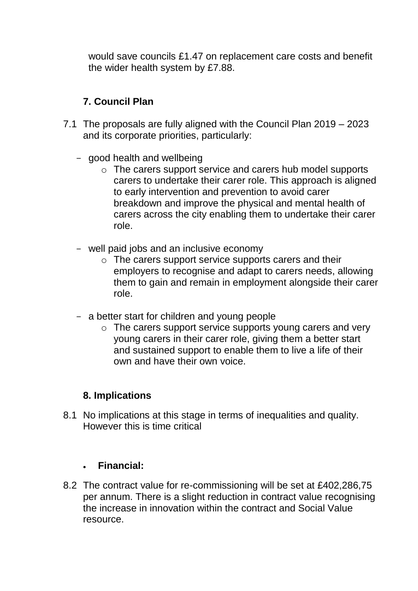would save councils £1.47 on replacement care costs and benefit the wider health system by £7.88.

# **7. Council Plan**

- 7.1 The proposals are fully aligned with the Council Plan 2019 2023 and its corporate priorities, particularly:
	- good health and wellbeing
		- o The carers support service and carers hub model supports carers to undertake their carer role. This approach is aligned to early intervention and prevention to avoid carer breakdown and improve the physical and mental health of carers across the city enabling them to undertake their carer role.
	- well paid jobs and an inclusive economy
		- o The carers support service supports carers and their employers to recognise and adapt to carers needs, allowing them to gain and remain in employment alongside their carer role.
	- a better start for children and young people
		- o The carers support service supports young carers and very young carers in their carer role, giving them a better start and sustained support to enable them to live a life of their own and have their own voice.

#### **8. Implications**

8.1 No implications at this stage in terms of inequalities and quality. However this is time critical

#### **Financial:**

8.2 The contract value for re-commissioning will be set at £402,286,75 per annum. There is a slight reduction in contract value recognising the increase in innovation within the contract and Social Value resource.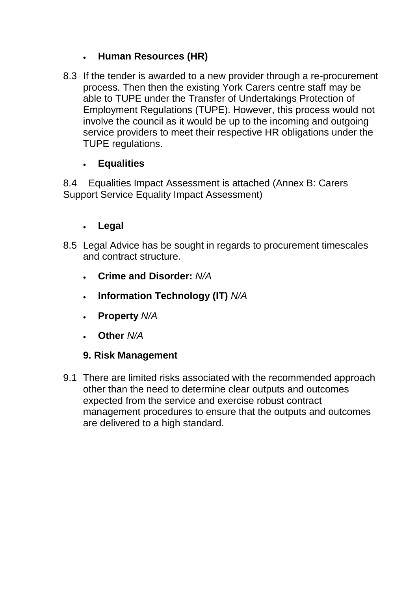# **Human Resources (HR)**

8.3 If the tender is awarded to a new provider through a re-procurement process. Then then the existing York Carers centre staff may be able to TUPE under the Transfer of Undertakings Protection of Employment Regulations (TUPE). However, this process would not involve the council as it would be up to the incoming and outgoing service providers to meet their respective HR obligations under the TUPE regulations.

## **Equalities**

8.4 Equalities Impact Assessment is attached (Annex B: Carers Support Service Equality Impact Assessment)

## **Legal**

- 8.5 Legal Advice has be sought in regards to procurement timescales and contract structure.
	- **Crime and Disorder:** *N/A*
	- **Information Technology (IT)** *N/A*
	- **Property** *N/A*
	- **Other** *N/A*

## **9. Risk Management**

9.1 There are limited risks associated with the recommended approach other than the need to determine clear outputs and outcomes expected from the service and exercise robust contract management procedures to ensure that the outputs and outcomes are delivered to a high standard.